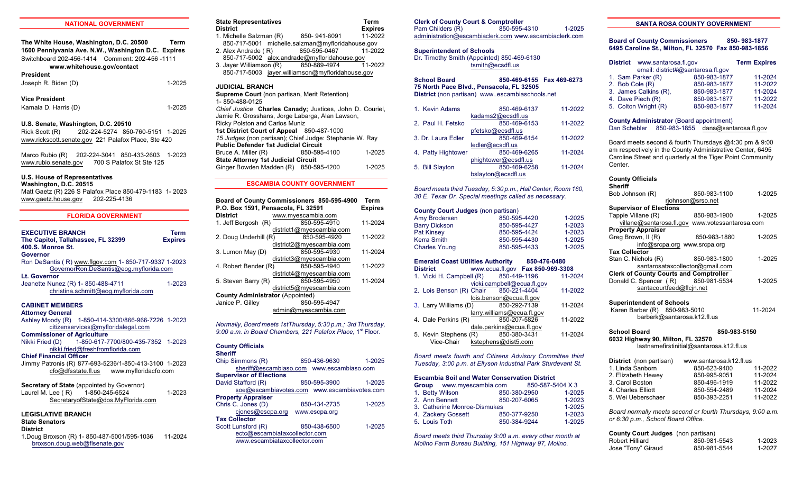#### **NATIONAL GOVERNMENT**

**The White House, Washington, D.C. 20500 Term 1600 Pennlyvania Ave. N.W., Washington D.C. Expires** Switchboard 202-456-1414 Comment: 202-456 -1111 **www.whitehouse.gov/contact President**

Joseph R. Biden (D) 1-2025

#### **Vice President**

Kamala D. Harris (D) 1-2025

#### **U.S. Senate, Washington, D.C. 20510**

Rick Scott (R) 202-224-5274 850-760-5151 1-2025 [www.rickscott.senate.gov](http://www.rickscott.senate.gov) 221 Palafox Place, Ste 420

Marco Rubio (R) 202-224-3041 850-433-2603 1-2023 [www.rubio.senate.gov](http://www.rubio.senate.gov) 700 S Palafox St Ste 125

# **U.S. House of Representatives**

**Washington, D.C. 20515** Matt Gaetz (R) 226 S Palafox Place 850-479-1183 1- 2023 [www.gaetz.house.gov](http://www.gaetz.house.gov) 202-225-4136

# **FLORIDA GOVERNMENT EXECUTIVE BRANCH**<br>The Capitol. Tallahassee. FL 32399 **Expires The Capitol, Tallahassee, FL 32399 400.S. Monroe St. Governor** Ron DeSantis ( R) [www.flgov.com](http://www.flgov.com) 1- 850-717-9337 1-2023 [GovernorRon.DeSantis@eog.myflorida.com](mailto:rick.scott@eog.myflorida.com)

**Lt. Governor** Jeanette Nunez (R) 1-850-488-4711 1-2023 christina.schmitt@eog.myflorida.com

# **CABINET MEMBERS**

# **Attorney General**

Ashley Moody (R) 1-850-414-3300/866-966-7226 1-2023 citizenservices@myfloridalegal.com **Commissioner of Agriculture**

Nikki Fried (D) 1-850-617-7700/800-435-7352 1-2023 [nikki.fried@freshfromflorida.com](mailto:Adam.Putnam@freshfromflorida.com)

#### **Chief Financial Officer**

Jimmy Patronis (R) 877-693-5236/1-850-413-3100 1-2023 [cfo@dfsstate.fl.us](mailto:cfo@dfsstate.fl.us) [www.myfloridacfo.com](http://www.fldfs.com)

#### **Secretary of State** (appointed by Governor) Laurel M. Lee ( R) 1-850-245-6524 1-2023

[SecretaryofState@dos.MyFlorida.com](mailto:DOS.SecretaryofState@DOS.MyFlorida.com)

# **LEGISLATIVE BRANCH**

**State Senators**

**District** 1.Doug Broxson (R) 1- 850-487-5001/595-1036 11-2024 [broxson.doug.web@flsenate.gov](mailto:Broxson.doug.web@flsenate.gov)

# **State Representatives** Term **District** Expires<br>1. Michelle Salzman (R) 850-941-6091 11-2022 1. Michelle Salzman (R)

850-717-5001 michelle.salzman@myfloridahouse.gov<br>Alex Andrade (R) 850-595-0467 11-2022 2. Alex Andrade (R) 850-717-5002 [alex.andrade@myfloridahouse.gov](mailto:frank.white@myfloridahouse.gov)<br>Javer Williamson (R) 850-889-4974 11-2022 3. Jayer Williamson  $(R)$ 

850-717-5003 [jayer.williamson@myfloridahouse.gov](mailto:jayer.williamson@myfloridahouse.gov)

# **JUDICIAL BRANCH**

**Supreme Court** (non partisan, Merit Retention) 1- 850-488-0125 *Chief Justice* **Charles Canady;** Justices, John D. Couriel, Jamie R. Grosshans, Jorge Labarga, Alan Lawson, Ricky Polston and Carlos Muniz **1st District Court of Appeal** 850-487-1000 *15 Judges* (non partisan); Chief Judge: Stephanie W. Ray **Public Defender 1st Judicial Circuit**<br>Bruce A. Miller (R) 850-595-4100 Bruce A. Miller (R) 850-595-4100 1-2025 **State Attorney 1st Judicial Circuit** Ginger Bowden Madden (R) 850-595-4200 1-2025

# **ESCAMBIA COUNTY GOVERNMENT**

| P.O. Box 1591, Pensacola, FL 32591      | Board of County Commissioners 850-595-4900 | Term<br><b>Expires</b> |  |
|-----------------------------------------|--------------------------------------------|------------------------|--|
| <b>District</b>                         | www.mvescambia.com                         |                        |  |
| 1. Jeff Bergosh (R)                     | 850-595-4910                               | 11-2024                |  |
|                                         | district1@myescambia.com                   |                        |  |
| 2. Doug Underhill (R)                   | 850-595-4920                               | 11-2022                |  |
|                                         | district2@myescambia.com                   |                        |  |
| 3. Lumon May (D)                        | 850-595-4930                               | 11-2024                |  |
|                                         | district3@myescambia.com                   |                        |  |
| 4. Robert Bender (R)                    | 850-595-4940                               | 11-2022                |  |
| district4@myescambia.com                |                                            |                        |  |
| 5. Steven Barry (R)                     | 850-595-4950                               | 11-2024                |  |
|                                         | district5@myescambia.com                   |                        |  |
| <b>County Administrator (Appointed)</b> |                                            |                        |  |
| Janice P. Gilley                        | 850-595-4947                               |                        |  |
| admin@myescambia.com                    |                                            |                        |  |

*Normally, Board meets 1stThursday, 5:30 p.m.; 3rd Thursday,* 9:00 a.m. in Board Chambers, 221 Palafox Place, 1<sup>st</sup> Floor.

# **County Officials**

| Sheriff |
|---------|
|---------|

| Chip Simmons (R)               | 850-436-9630                                | 1-2025 |
|--------------------------------|---------------------------------------------|--------|
|                                | sheriff@escambiaso.com www.escambiaso.com   |        |
| <b>Supervisor of Elections</b> |                                             |        |
| David Stafford (R)             | 850-595-3900                                | 1-2025 |
|                                | soe@escambiavotes.com www.escambiavotes.com |        |
| <b>Property Appraiser</b>      |                                             |        |
| Chris C. Jones (D)             | 850-434-2735                                | 1-2025 |
| cjones@escpa.org               | www.escpa.org                               |        |
| <b>Tax Collector</b>           |                                             |        |
| Scott Lunsford (R)             | 850-438-6500                                | 1-2025 |
| ectc@escambiataxcollector.com  |                                             |        |
| www.escambiataxcollector.com   |                                             |        |

# **Clerk of County Court & Comptroller**

Pam Childers (R) 850-595-4310 1-2025 administration@escambiaclerk.com www.escambiaclerk.com

#### **Superintendent of Schools**

Dr. Timothy Smith (Appointed) 850-469-6130 [tsmith@ecsdfl.us](mailto:mthomas@escambia.k12.fl.us)

**School Board 850-469-6155 Fax 469-6273 75 North Pace Blvd., Pensacola, FL 32505 District** (non partisan) www..escambiaschools.net

| 1. Kevin Adams     | 850-469-6137         | 11-2022 |
|--------------------|----------------------|---------|
|                    | kadams2@ecsdfl.us    |         |
| 2. Paul H. Fetsko  | 850-469-6153         | 11-2022 |
|                    | pfetsko@ecsdfl.us    |         |
| 3. Dr. Laura Edler | 850-469-6154         | 11-2022 |
|                    | ledler@ecsdfl.us     |         |
| 4. Patty Hightower | 850-469-6265         | 11-2024 |
|                    | phightower@ecsdfl.us |         |
| 5. Bill Slayton    | 850-469-6258         | 11-2024 |
|                    | bslayton@ecsdfl.us   |         |
|                    |                      |         |

*Board meets third Tuesday, 5:30 p.m., Hall Center, Room 160, 30 E. Texar Dr. Special meetings called as necessary.*

#### **County Court Judges** (non partisan)

| Amy Brodersen        | 850-595-4420 | $1 - 2025$ |
|----------------------|--------------|------------|
| <b>Barry Dickson</b> | 850-595-4427 | 1-2023     |
| <b>Pat Kinsey</b>    | 850-595-4424 | 1-2023     |
| Kerra Smith          | 850-595-4430 | $1-2025$   |
| <b>Charles Young</b> | 850-595-4433 | 1-2025     |

# **Emerald Coast Utilities Authority 850**-**476-0480**

| <b>District</b>                       |  | www.ecua.fl.gov Fax 850-969-3308 |         |
|---------------------------------------|--|----------------------------------|---------|
| 1. Vicki H. Campbell (R) 850-449-1196 |  |                                  | 11-2024 |
|                                       |  | vicki.campbell@ecua.fl.gov       |         |
| 2. Lois Benson (R) Chair 850-221-4404 |  |                                  | 11-2022 |
|                                       |  | lois.benson@ecua.fl.gov          |         |
| 3. Larry Williams (D)                 |  | 850-292-7139                     | 11-2024 |
| larry.williams@ecua.fl.gov            |  |                                  |         |
| 4. Dale Perkins (R)                   |  | 850-207-5826                     | 11-2022 |
| dale.perkins@ecua.fl.gov              |  |                                  |         |
| 5. Kevin Stephens (R)                 |  | 850-380-3431                     | 11-2024 |
| Vice-Chair kstephens@dist5.com        |  |                                  |         |

*Board meets fourth and Citizens Advisory Committee third Tuesday, 3:00 p.m. at Ellyson Industrial Park Sturdevant St.*

#### **Escambia Soil and Water Conservation District**

| Group www.myescambia.com     | 850-587-5404 X 3 |            |
|------------------------------|------------------|------------|
| 1. Betty Wilson              | 850-380-2950     | $1 - 2025$ |
| 2. Ann Bennett               | 850-207-6065     | $1 - 2023$ |
| 3. Catherine Monroe-Dismukes |                  | $1 - 2025$ |
| 4. Zackery Gossett           | 850-377-9250     | $1 - 2023$ |
| 5. Louis Toth                | 850-384-9244     | $1 - 2025$ |

*Board meets third Thursday 9:00 a.m. every other month at Molino Farm Bureau Building, 151 Highway 97, Molino.*

# **SANTA ROSA COUNTY GOVERNMENT**

**Board of County Commissioners 850- 983-1877 6495 Caroline St., Milton, FL 32570 Fax 850-983-1856** 

| District www.santarosa.fl.gov |                                   | <b>Term Expires</b> |
|-------------------------------|-----------------------------------|---------------------|
|                               | email: district#@santarosa.fl.gov |                     |
| 1. Sam Parker (R)             | 850-983-1877                      | 11-2024             |
| 2. Bob Cole (R)               | 850-983-1877                      | 11-2022             |
| 3. James Calkins (R),         | 850-983-1877                      | 11-2024             |
| 4. Dave Piech (R)             | 850-983-1877                      | 11-2022             |
| 5. Colton Wright (R)          | 850-983-1877                      | 11-2024             |

#### **County Administrator** (Board appointment)

Dan Schebler 850-983-1855 [dans@santarosa.fl.gov](http://dans@santarosa.fl.gov)

Board meets second & fourth Thursdays @4:30 pm & 9:00 am respectively in the County Administrative Center, 6495 Caroline Street and quarterly at the Tiger Point Community Center*.*

| <b>County Officials</b><br>Sheriff              |                   |        |
|-------------------------------------------------|-------------------|--------|
| Bob Johnson (R)                                 | 850-983-1100      | 1-2025 |
|                                                 | riohnson@srso.net |        |
| <b>Supervisor of Elections</b>                  |                   |        |
| Tappie Villane (R)                              | 850-983-1900      | 1-2025 |
| villane@santarosa.fl.gov www.votessantarosa.com |                   |        |
| <b>Property Appraiser</b>                       |                   |        |
| Greg Brown, II (R)                              | 850-983-1880      | 1-2025 |
| info@srcpa.org www.srcpa.org                    |                   |        |
| <b>Tax Collector</b>                            |                   |        |
| Stan C. Nichols (R)                             | 850-983-1800      | 1-2025 |
| santarosataxcollector@gmail.com                 |                   |        |
| <b>Clerk of County Courts and Comptroller</b>   |                   |        |
| Donald C. Spencer (R)                           | 850-981-5534      | 1-2025 |
| santacourtfeed@flcin.net                        |                   |        |
|                                                 |                   |        |
| <b>Superintendent of Schools</b>                |                   |        |

Karen Barber (R) 850-983-5010 11-2024 barberk@santarosa.k12.fl.us

# **School Board 850-983-5150 6032 Highway 90, Milton, FL 32570**

lastnamefirstinitial@santarosa.k12.fl.us

| District (non partisan) | www.santarosa.k12.fl.us |         |
|-------------------------|-------------------------|---------|
| 1. Linda Sanborn        | 850-623-9400            | 11-2022 |
| 2. Elizabeth Hewey      | 850-995-9051            | 11-2024 |
| 3. Carol Boston         | 850-496-1919            | 11-2022 |
| 4. Charles Elliott      | 850-554-2489            | 11-2024 |
| 5. Wei Ueberschaer      | 850-393-2251            | 11-2022 |

*Board normally meets second or fourth Thursdays, 9:00 a.m. or 6:30 p.m., School Board Office.*

| <b>County Court Judges</b> (non partisan) |              |        |
|-------------------------------------------|--------------|--------|
| Robert Hilliard                           | 850-981-5543 | 1-2023 |
| Jose "Tony" Giraud                        | 850-981-5544 | 1-2027 |